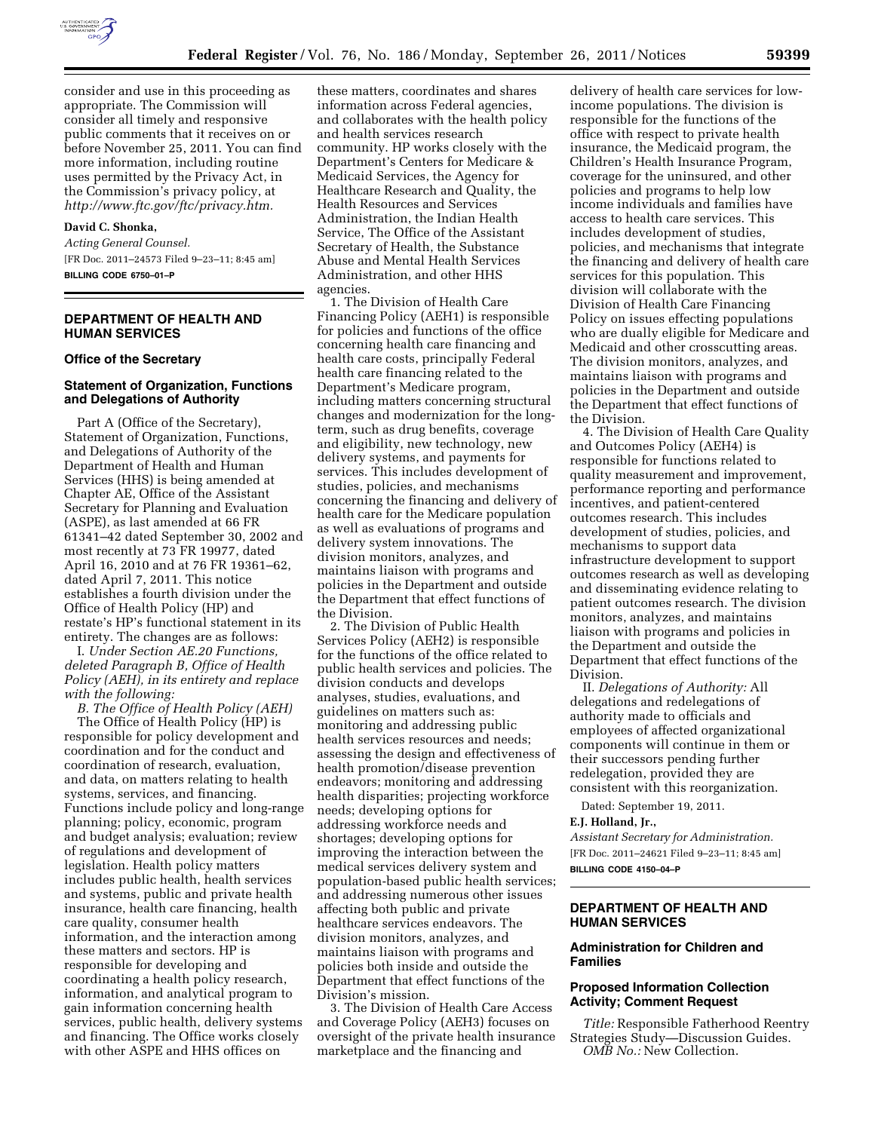

consider and use in this proceeding as appropriate. The Commission will consider all timely and responsive public comments that it receives on or before November 25, 2011. You can find more information, including routine uses permitted by the Privacy Act, in the Commission's privacy policy, at *[http://www.ftc.gov/ftc/privacy.htm.](http://www.ftc.gov/ftc/privacy.htm)* 

## **David C. Shonka,**

*Acting General Counsel.*  [FR Doc. 2011–24573 Filed 9–23–11; 8:45 am]

**BILLING CODE 6750–01–P** 

# **DEPARTMENT OF HEALTH AND HUMAN SERVICES**

#### **Office of the Secretary**

### **Statement of Organization, Functions and Delegations of Authority**

Part A (Office of the Secretary), Statement of Organization, Functions, and Delegations of Authority of the Department of Health and Human Services (HHS) is being amended at Chapter AE, Office of the Assistant Secretary for Planning and Evaluation (ASPE), as last amended at 66 FR 61341–42 dated September 30, 2002 and most recently at 73 FR 19977, dated April 16, 2010 and at 76 FR 19361–62, dated April 7, 2011. This notice establishes a fourth division under the Office of Health Policy (HP) and restate's HP's functional statement in its entirety. The changes are as follows:

I. *Under Section AE.20 Functions, deleted Paragraph B, Office of Health Policy (AEH), in its entirety and replace with the following:* 

*B. The Office of Health Policy (AEH)*  The Office of Health Policy (HP) is responsible for policy development and coordination and for the conduct and coordination of research, evaluation, and data, on matters relating to health systems, services, and financing. Functions include policy and long-range planning; policy, economic, program and budget analysis; evaluation; review of regulations and development of legislation. Health policy matters includes public health, health services and systems, public and private health insurance, health care financing, health care quality, consumer health information, and the interaction among these matters and sectors. HP is responsible for developing and coordinating a health policy research, information, and analytical program to gain information concerning health services, public health, delivery systems and financing. The Office works closely

with other ASPE and HHS offices on

these matters, coordinates and shares information across Federal agencies, and collaborates with the health policy and health services research community. HP works closely with the Department's Centers for Medicare & Medicaid Services, the Agency for Healthcare Research and Quality, the Health Resources and Services Administration, the Indian Health Service, The Office of the Assistant Secretary of Health, the Substance Abuse and Mental Health Services Administration, and other HHS agencies.

1. The Division of Health Care Financing Policy (AEH1) is responsible for policies and functions of the office concerning health care financing and health care costs, principally Federal health care financing related to the Department's Medicare program, including matters concerning structural changes and modernization for the longterm, such as drug benefits, coverage and eligibility, new technology, new delivery systems, and payments for services. This includes development of studies, policies, and mechanisms concerning the financing and delivery of health care for the Medicare population as well as evaluations of programs and delivery system innovations. The division monitors, analyzes, and maintains liaison with programs and policies in the Department and outside the Department that effect functions of the Division.

2. The Division of Public Health Services Policy (AEH2) is responsible for the functions of the office related to public health services and policies. The division conducts and develops analyses, studies, evaluations, and guidelines on matters such as: monitoring and addressing public health services resources and needs; assessing the design and effectiveness of health promotion/disease prevention endeavors; monitoring and addressing health disparities; projecting workforce needs; developing options for addressing workforce needs and shortages; developing options for improving the interaction between the medical services delivery system and population-based public health services; and addressing numerous other issues affecting both public and private healthcare services endeavors. The division monitors, analyzes, and maintains liaison with programs and policies both inside and outside the Department that effect functions of the Division's mission.

3. The Division of Health Care Access and Coverage Policy (AEH3) focuses on oversight of the private health insurance marketplace and the financing and

delivery of health care services for lowincome populations. The division is responsible for the functions of the office with respect to private health insurance, the Medicaid program, the Children's Health Insurance Program, coverage for the uninsured, and other policies and programs to help low income individuals and families have access to health care services. This includes development of studies, policies, and mechanisms that integrate the financing and delivery of health care services for this population. This division will collaborate with the Division of Health Care Financing Policy on issues effecting populations who are dually eligible for Medicare and Medicaid and other crosscutting areas. The division monitors, analyzes, and maintains liaison with programs and policies in the Department and outside the Department that effect functions of the Division.

4. The Division of Health Care Quality and Outcomes Policy (AEH4) is responsible for functions related to quality measurement and improvement, performance reporting and performance incentives, and patient-centered outcomes research. This includes development of studies, policies, and mechanisms to support data infrastructure development to support outcomes research as well as developing and disseminating evidence relating to patient outcomes research. The division monitors, analyzes, and maintains liaison with programs and policies in the Department and outside the Department that effect functions of the Division.

II. *Delegations of Authority:* All delegations and redelegations of authority made to officials and employees of affected organizational components will continue in them or their successors pending further redelegation, provided they are consistent with this reorganization.

Dated: September 19, 2011.

#### **E.J. Holland, Jr.,**

*Assistant Secretary for Administration.*  [FR Doc. 2011–24621 Filed 9–23–11; 8:45 am] **BILLING CODE 4150–04–P** 

#### **DEPARTMENT OF HEALTH AND HUMAN SERVICES**

#### **Administration for Children and Families**

### **Proposed Information Collection Activity; Comment Request**

*Title:* Responsible Fatherhood Reentry Strategies Study—Discussion Guides. *OMB No.:* New Collection.